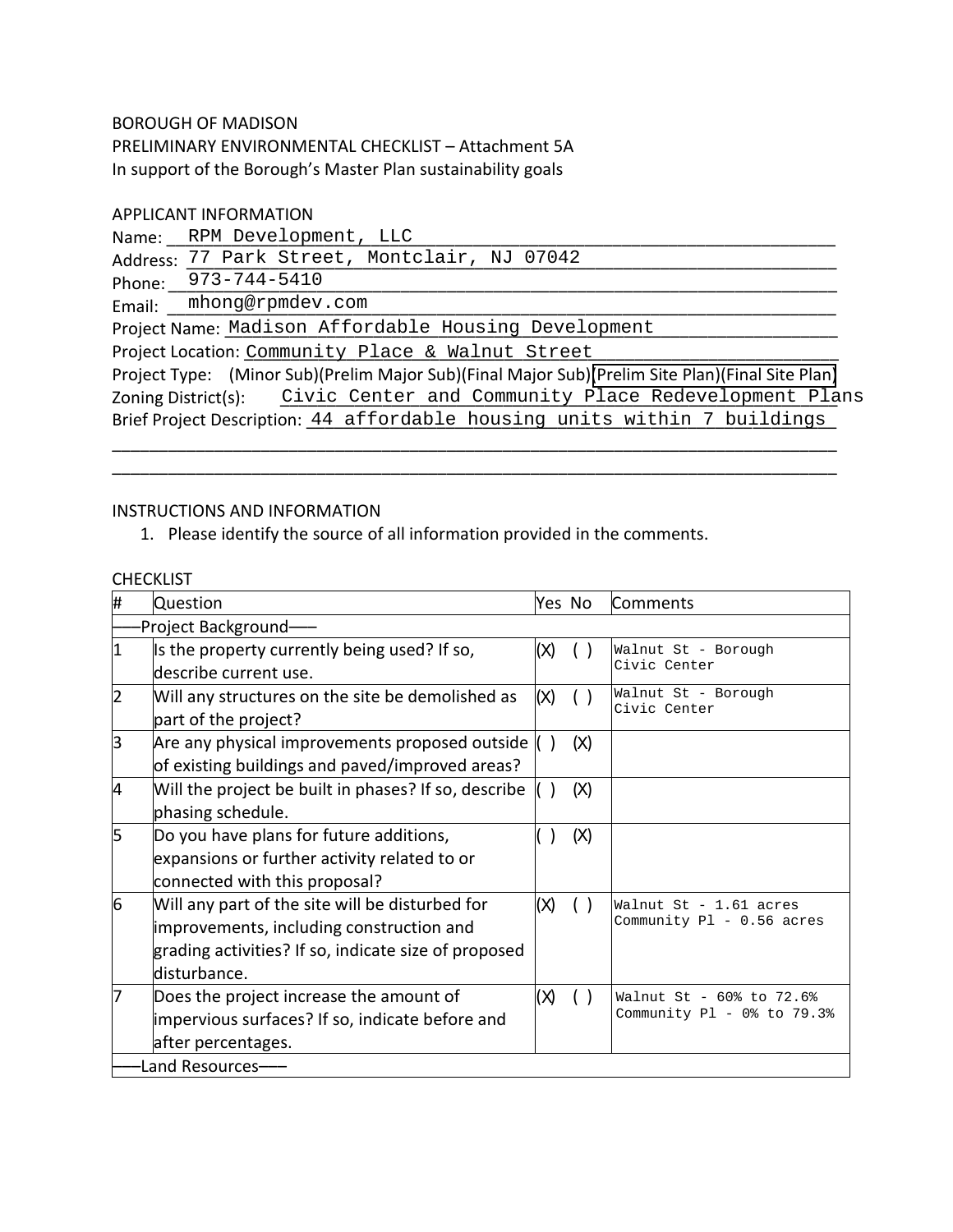## BOROUGH OF MADISON

PRELIMINARY ENVIRONMENTAL CHECKLIST – Attachment 5A In support of the Borough's Master Plan sustainability goals

## APPLICANT INFORMATION

Name: \_\_\_\_\_\_\_\_\_\_\_\_\_\_\_\_\_\_\_\_\_\_\_\_\_\_\_\_\_\_\_\_\_\_\_\_\_\_\_\_\_\_\_\_\_\_\_\_\_\_\_\_\_\_\_\_\_\_\_\_\_\_\_\_\_\_\_\_\_\_\_\_ RPM Development, LLC

Address: 77 Park Street, Montclair, NJ 07042

Phone: \_\_\_\_\_\_\_\_\_\_\_\_\_\_\_\_\_\_\_\_\_\_\_\_\_\_\_\_\_\_\_\_\_\_\_\_\_\_\_\_\_\_\_\_\_\_\_\_\_\_\_\_\_\_\_\_\_\_\_\_\_\_\_\_\_\_\_\_\_\_\_\_ 973-744-5410

Email: \_\_\_\_\_\_\_\_\_\_\_\_\_\_\_\_\_\_\_\_\_\_\_\_\_\_\_\_\_\_\_\_\_\_\_\_\_\_\_\_\_\_\_\_\_\_\_\_\_\_\_\_\_\_\_\_\_\_\_\_\_\_\_\_\_\_\_\_\_\_\_\_ mhong@rpmdev.com

Project Name: Madison Affordable Housing Development \_\_\_\_\_\_\_\_\_\_\_\_\_\_\_\_\_\_\_\_\_\_\_\_\_\_\_

Project Location: Community Place & Walnut Street [10001111111111111111111111111 Project Type: (Minor Sub)(Prelim Major Sub)(Final Major Sub)(Prelim Site Plan)(Final Site Plan) Zoning District(s): \_\_\_\_\_\_\_\_\_\_\_\_\_\_\_\_\_\_\_\_\_\_\_\_\_\_\_\_\_\_\_\_\_\_\_\_\_\_\_\_\_\_\_\_\_\_\_\_\_\_\_\_\_\_\_\_\_\_\_\_ Civic Center and Community Place Redevelopment Plans Brief Project Description: 44 affordable housing units within 7 buildings

\_\_\_\_\_\_\_\_\_\_\_\_\_\_\_\_\_\_\_\_\_\_\_\_\_\_\_\_\_\_\_\_\_\_\_\_\_\_\_\_\_\_\_\_\_\_\_\_\_\_\_\_\_\_\_\_\_\_\_\_\_\_\_\_\_\_\_\_\_\_\_\_\_\_\_\_\_\_ \_\_\_\_\_\_\_\_\_\_\_\_\_\_\_\_\_\_\_\_\_\_\_\_\_\_\_\_\_\_\_\_\_\_\_\_\_\_\_\_\_\_\_\_\_\_\_\_\_\_\_\_\_\_\_\_\_\_\_\_\_\_\_\_\_\_\_\_\_\_\_\_\_\_\_\_\_\_

## INSTRUCTIONS AND INFORMATION

1. Please identify the source of all information provided in the comments.

## **CHECKLIST**

| #               | <b>Question</b>                                                                                                                                                     | Yes No |     | Comments                                               |
|-----------------|---------------------------------------------------------------------------------------------------------------------------------------------------------------------|--------|-----|--------------------------------------------------------|
|                 | Project Background-                                                                                                                                                 |        |     |                                                        |
| I1              | Is the property currently being used? If so,<br>ldescribe current use.                                                                                              | (X)    |     | Walnut St - Borough<br>Civic Center                    |
| 12              | Will any structures on the site be demolished as<br>part of the project?                                                                                            | (x)    |     | Walnut St - Borough<br>Civic Center                    |
| lЗ              | Are any physical improvements proposed outside<br>of existing buildings and paved/improved areas?                                                                   |        | (X) |                                                        |
| 4               | Will the project be built in phases? If so, describe<br>phasing schedule.                                                                                           |        | (X) |                                                        |
| 5               | Do you have plans for future additions,<br>expansions or further activity related to or<br>connected with this proposal?                                            |        | (X) |                                                        |
| 6               | Will any part of the site will be disturbed for<br>improvements, including construction and<br>grading activities? If so, indicate size of proposed<br>disturbance. | (x)    |     | Walnut St - 1.61 acres<br>Community Pl - 0.56 acres    |
|                 | Does the project increase the amount of<br>impervious surfaces? If so, indicate before and<br>after percentages.                                                    | (X)    |     | Walnut St - 60% to 72.6%<br>Community Pl - 0% to 79.3% |
| Land Resources- |                                                                                                                                                                     |        |     |                                                        |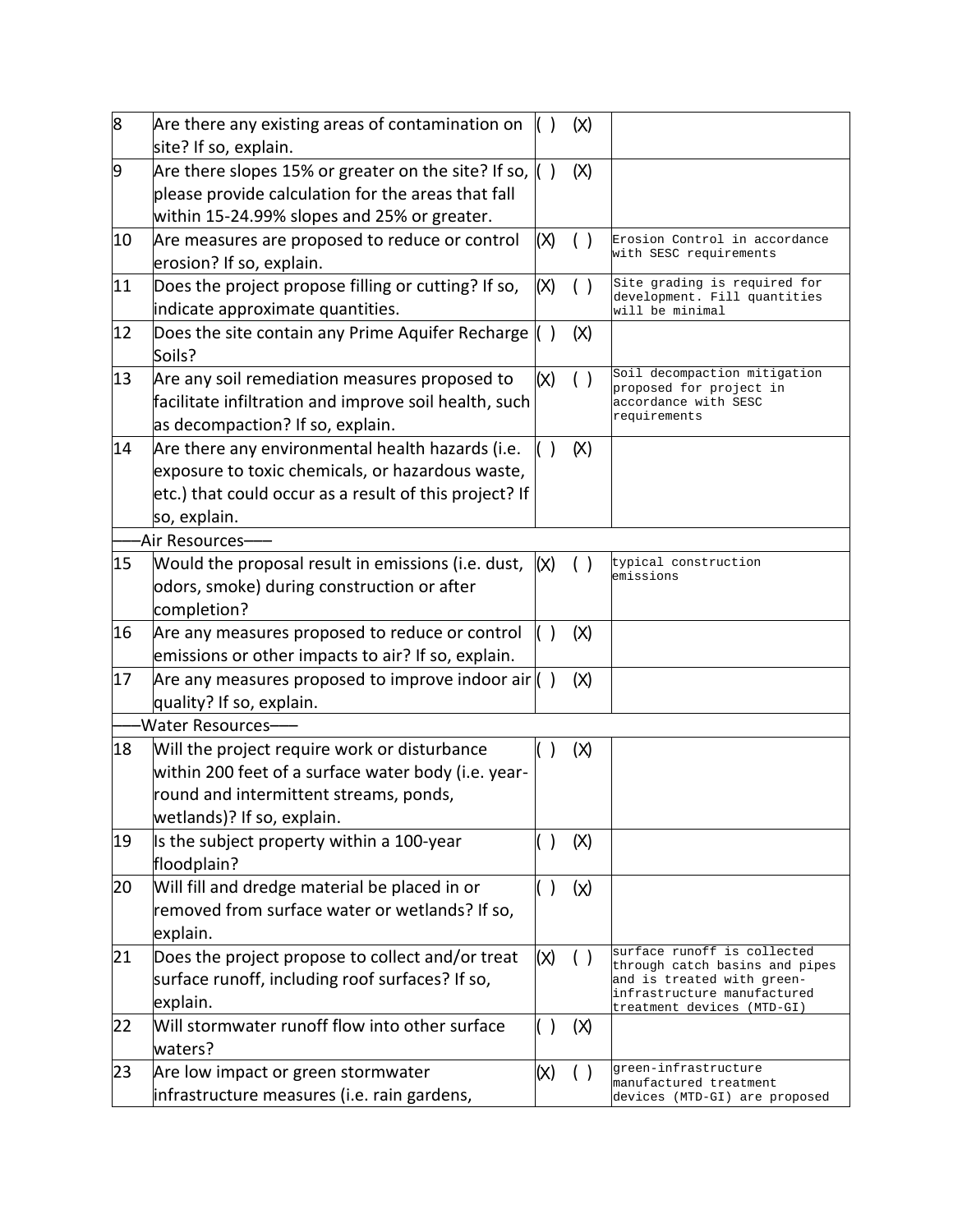| 8  | Are there any existing areas of contamination on<br>site? If so, explain.               |                        | (x)            |                                                                                 |
|----|-----------------------------------------------------------------------------------------|------------------------|----------------|---------------------------------------------------------------------------------|
| 9  | Are there slopes 15% or greater on the site? If so, $\langle \rangle$                   |                        | (X)            |                                                                                 |
|    | please provide calculation for the areas that fall                                      |                        |                |                                                                                 |
|    | within 15-24.99% slopes and 25% or greater.                                             |                        |                |                                                                                 |
| 10 | Are measures are proposed to reduce or control                                          | (X)                    | ()             | Erosion Control in accordance                                                   |
|    | erosion? If so, explain.                                                                |                        |                | with SESC requirements                                                          |
| 11 | Does the project propose filling or cutting? If so,<br>indicate approximate quantities. | (X)                    | ( )            | Site grading is required for<br>development. Fill quantities<br>will be minimal |
| 12 | Does the site contain any Prime Aquifer Recharge<br>Soils?                              | $\left( \quad \right)$ | (x)            |                                                                                 |
| 13 | Are any soil remediation measures proposed to                                           | (x)                    | $($ )          | Soil decompaction mitigation                                                    |
|    | facilitate infiltration and improve soil health, such                                   |                        |                | proposed for project in<br>accordance with SESC                                 |
|    | as decompaction? If so, explain.                                                        |                        |                | requirements                                                                    |
| 14 | Are there any environmental health hazards (i.e.                                        |                        | (x)            |                                                                                 |
|    | exposure to toxic chemicals, or hazardous waste,                                        |                        |                |                                                                                 |
|    | etc.) that could occur as a result of this project? If                                  |                        |                |                                                                                 |
|    | so, explain.                                                                            |                        |                |                                                                                 |
|    | -Air Resources–                                                                         |                        |                |                                                                                 |
| 15 | Would the proposal result in emissions (i.e. dust,                                      | (x)                    |                | typical construction                                                            |
|    | odors, smoke) during construction or after                                              |                        |                | emissions                                                                       |
|    | completion?                                                                             |                        |                |                                                                                 |
| 16 | Are any measures proposed to reduce or control                                          |                        | (X)            |                                                                                 |
|    | emissions or other impacts to air? If so, explain.                                      |                        |                |                                                                                 |
| 17 | Are any measures proposed to improve indoor air $( )$                                   |                        | $(\mathbb{X})$ |                                                                                 |
|    | quality? If so, explain.                                                                |                        |                |                                                                                 |
|    | -Water Resources-                                                                       |                        |                |                                                                                 |
| 18 | Will the project require work or disturbance                                            |                        | (x)            |                                                                                 |
|    | within 200 feet of a surface water body (i.e. year-                                     |                        |                |                                                                                 |
|    | round and intermittent streams, ponds,                                                  |                        |                |                                                                                 |
|    | wetlands)? If so, explain.                                                              |                        |                |                                                                                 |
| 19 | Is the subject property within a 100-year<br>floodplain?                                | $\lambda$              | (X)            |                                                                                 |
| 20 | Will fill and dredge material be placed in or                                           | ( )                    | (x)            |                                                                                 |
|    | removed from surface water or wetlands? If so,                                          |                        |                |                                                                                 |
|    | explain.                                                                                |                        |                |                                                                                 |
| 21 | Does the project propose to collect and/or treat                                        | (x)                    | ( )            | surface runoff is collected<br>through catch basins and pipes                   |
|    | surface runoff, including roof surfaces? If so,                                         |                        |                | and is treated with green-                                                      |
|    | explain.                                                                                |                        |                | infrastructure manufactured<br><u>treatment devices (MTD-GI)</u>                |
| 22 | Will stormwater runoff flow into other surface                                          | ( )                    | (x)            |                                                                                 |
|    | waters?                                                                                 |                        |                |                                                                                 |
| 23 | Are low impact or green stormwater                                                      | (x)                    | ( )            | green-infrastructure<br>manufactured treatment                                  |
|    | infrastructure measures (i.e. rain gardens,                                             |                        |                | devices (MTD-GI) are proposed                                                   |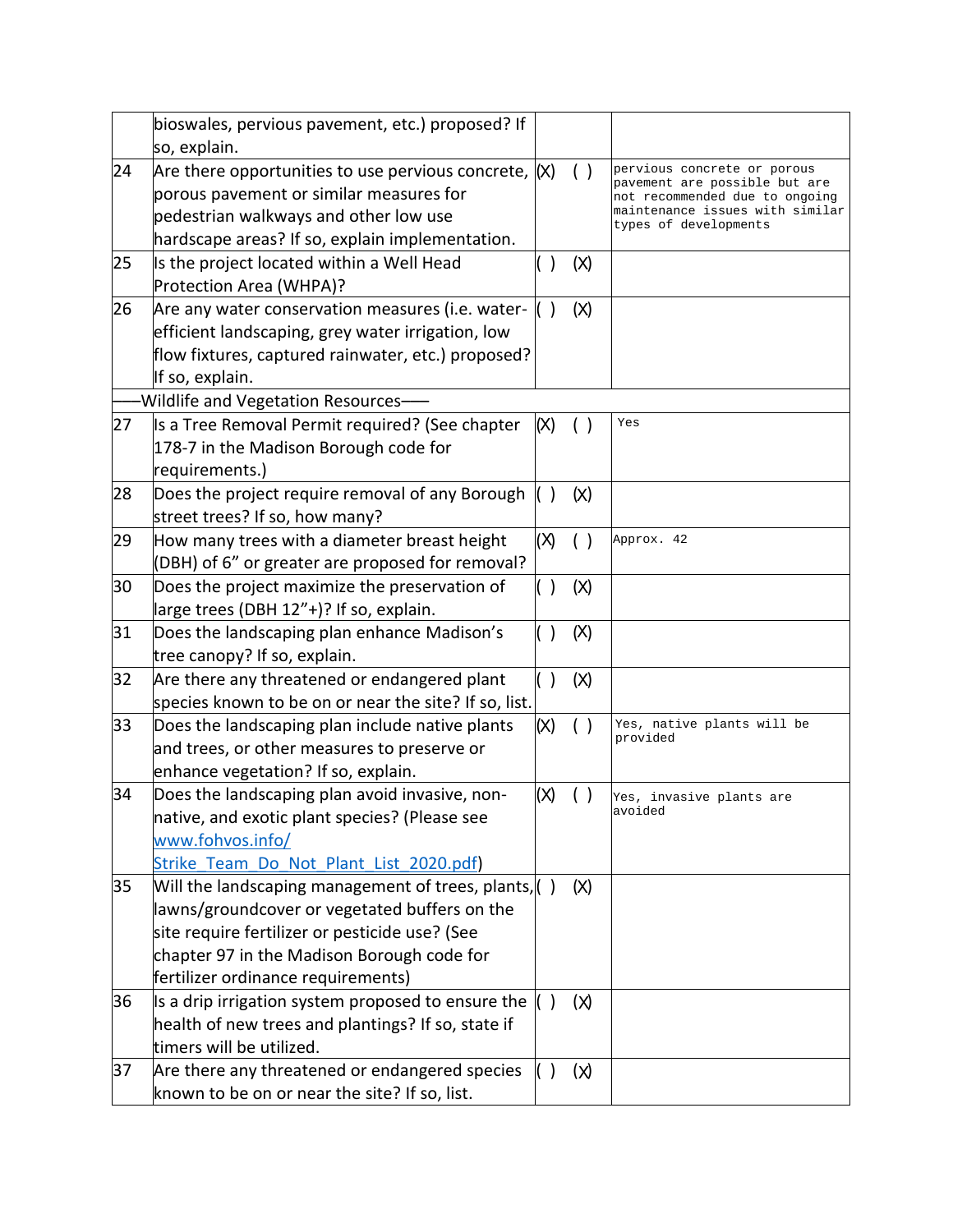|    | bioswales, pervious pavement, etc.) proposed? If        |         |       |                                                                 |
|----|---------------------------------------------------------|---------|-------|-----------------------------------------------------------------|
|    | so, explain.                                            |         |       |                                                                 |
| 24 | Are there opportunities to use pervious concrete, $(x)$ |         |       | pervious concrete or porous                                     |
|    | porous pavement or similar measures for                 |         |       | pavement are possible but are<br>not recommended due to ongoing |
|    | pedestrian walkways and other low use                   |         |       | maintenance issues with similar<br>types of developments        |
|    | hardscape areas? If so, explain implementation.         |         |       |                                                                 |
| 25 | Is the project located within a Well Head               |         | (X)   |                                                                 |
|    | Protection Area (WHPA)?                                 |         |       |                                                                 |
| 26 | Are any water conservation measures (i.e. water-        |         | (X)   |                                                                 |
|    | efficient landscaping, grey water irrigation, low       |         |       |                                                                 |
|    | flow fixtures, captured rainwater, etc.) proposed?      |         |       |                                                                 |
|    | If so, explain.                                         |         |       |                                                                 |
|    | -Wildlife and Vegetation Resources-                     |         |       |                                                                 |
| 27 | Is a Tree Removal Permit required? (See chapter         | (X)     | $($ ) | Yes                                                             |
|    | 178-7 in the Madison Borough code for                   |         |       |                                                                 |
|    | requirements.)                                          |         |       |                                                                 |
| 28 | Does the project require removal of any Borough         |         | (x)   |                                                                 |
|    | street trees? If so, how many?                          |         |       |                                                                 |
| 29 | How many trees with a diameter breast height            | (X)     | ( )   | Approx. 42                                                      |
|    | (DBH) of 6" or greater are proposed for removal?        |         |       |                                                                 |
| 30 | Does the project maximize the preservation of           | ( )     | (x)   |                                                                 |
|    | large trees (DBH 12"+)? If so, explain.                 |         |       |                                                                 |
| 31 | Does the landscaping plan enhance Madison's             | $( \ )$ | (X)   |                                                                 |
|    | tree canopy? If so, explain.                            |         |       |                                                                 |
| 32 | Are there any threatened or endangered plant            | $( \ )$ | (X)   |                                                                 |
|    | species known to be on or near the site? If so, list.   |         |       |                                                                 |
| 33 | Does the landscaping plan include native plants         | (x)     | ( )   | Yes, native plants will be<br>provided                          |
|    | and trees, or other measures to preserve or             |         |       |                                                                 |
|    | enhance vegetation? If so, explain.                     |         |       |                                                                 |
| 34 | Does the landscaping plan avoid invasive, non-          | (X)     |       | Yes, invasive plants are                                        |
|    | native, and exotic plant species? (Please see           |         |       | avoided                                                         |
|    | www.fohvos.info/                                        |         |       |                                                                 |
|    | Strike Team Do Not Plant List 2020.pdf)                 |         |       |                                                                 |
| 35 | Will the landscaping management of trees, plants, ()    |         | (X)   |                                                                 |
|    | lawns/groundcover or vegetated buffers on the           |         |       |                                                                 |
|    | site require fertilizer or pesticide use? (See          |         |       |                                                                 |
|    | chapter 97 in the Madison Borough code for              |         |       |                                                                 |
|    | fertilizer ordinance requirements)                      |         |       |                                                                 |
| 36 | Is a drip irrigation system proposed to ensure the      |         | (x)   |                                                                 |
|    | health of new trees and plantings? If so, state if      |         |       |                                                                 |
|    | timers will be utilized.                                |         |       |                                                                 |
| 37 | Are there any threatened or endangered species          | ( )     | (x)   |                                                                 |
|    | known to be on or near the site? If so, list.           |         |       |                                                                 |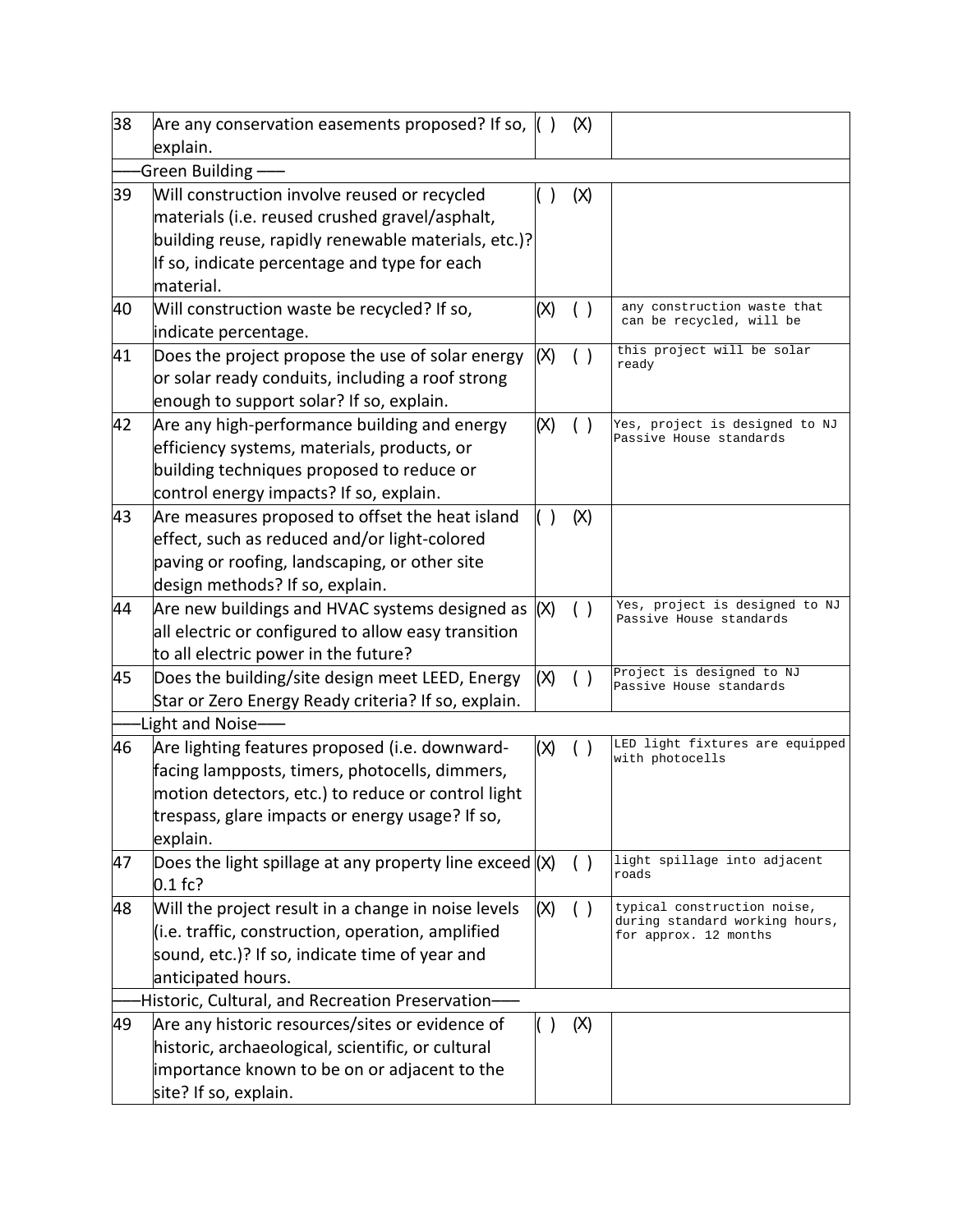| 38 | Are any conservation easements proposed? If so,<br>explain.                                                                                                                                                           |     | (X) |                                                                                        |  |
|----|-----------------------------------------------------------------------------------------------------------------------------------------------------------------------------------------------------------------------|-----|-----|----------------------------------------------------------------------------------------|--|
|    | Green Building $\cdot$                                                                                                                                                                                                |     |     |                                                                                        |  |
| 39 | Will construction involve reused or recycled<br>materials (i.e. reused crushed gravel/asphalt,<br>building reuse, rapidly renewable materials, etc.)?<br>If so, indicate percentage and type for each<br>material.    |     | (x) |                                                                                        |  |
| 40 | Will construction waste be recycled? If so,                                                                                                                                                                           | (x) |     | any construction waste that<br>can be recycled, will be                                |  |
|    | indicate percentage.                                                                                                                                                                                                  |     |     |                                                                                        |  |
| 41 | Does the project propose the use of solar energy<br>or solar ready conduits, including a roof strong<br>enough to support solar? If so, explain.                                                                      | (X) |     | this project will be solar<br>ready                                                    |  |
| 42 | Are any high-performance building and energy<br>efficiency systems, materials, products, or<br>building techniques proposed to reduce or<br>control energy impacts? If so, explain.                                   | (X) | ( ) | Yes, project is designed to NJ<br>Passive House standards                              |  |
| 43 | Are measures proposed to offset the heat island<br>effect, such as reduced and/or light-colored<br>paving or roofing, landscaping, or other site<br>design methods? If so, explain.                                   |     | (X) |                                                                                        |  |
| 44 | Are new buildings and HVAC systems designed as<br>all electric or configured to allow easy transition<br>to all electric power in the future?                                                                         | (X) | ( ) | Yes, project is designed to NJ<br>Passive House standards                              |  |
| 45 | Does the building/site design meet LEED, Energy<br>Star or Zero Energy Ready criteria? If so, explain.<br>-Light and Noise-                                                                                           | (X) | ( ) | Project is designed to NJ<br>Passive House standards                                   |  |
| 46 | Are lighting features proposed (i.e. downward-<br>facing lampposts, timers, photocells, dimmers,<br>motion detectors, etc.) to reduce or control light<br>trespass, glare impacts or energy usage? If so,<br>explain. | (x) |     | LED light fixtures are equipped<br>with photocells                                     |  |
| 47 | Does the light spillage at any property line exceed $(x)$<br>$0.1$ fc?                                                                                                                                                |     | ( ) | light spillage into adjacent<br>roads                                                  |  |
| 48 | Will the project result in a change in noise levels<br>(i.e. traffic, construction, operation, amplified<br>sound, etc.)? If so, indicate time of year and<br>anticipated hours.                                      | (X) | ( ) | typical construction noise,<br>during standard working hours,<br>for approx. 12 months |  |
|    | Historic, Cultural, and Recreation Preservation-                                                                                                                                                                      |     |     |                                                                                        |  |
| 49 | Are any historic resources/sites or evidence of<br>historic, archaeological, scientific, or cultural<br>importance known to be on or adjacent to the<br>site? If so, explain.                                         |     | (X) |                                                                                        |  |